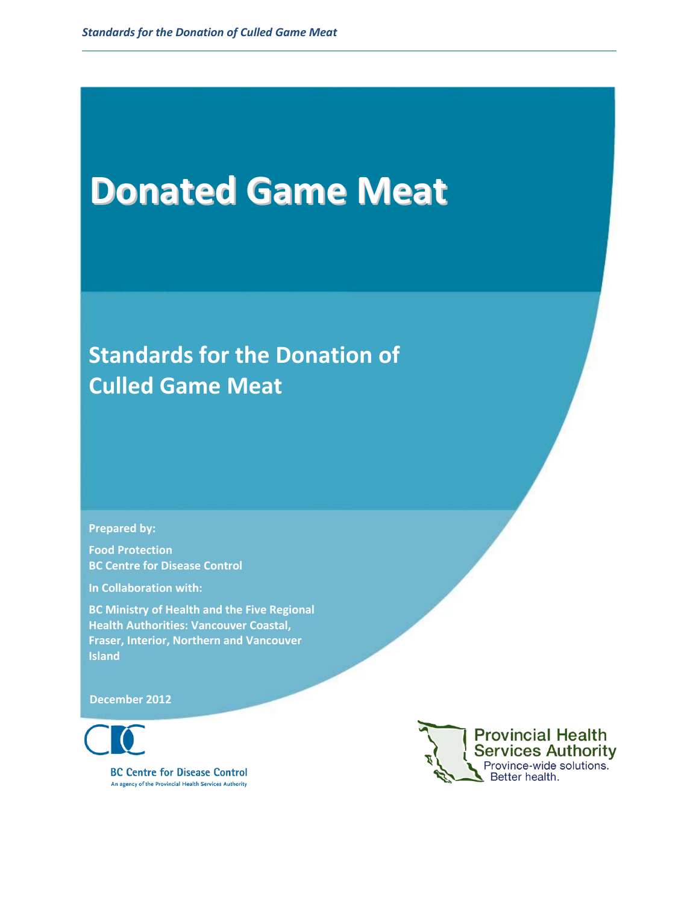# **Donated Game Meat**

# **Standards for the Donation of Culled Game Meat**

**Prepared by:**

**Food Protection BC Centre for Disease Control**

**In Collaboration with:**

**BC Ministry of Health and the Five Regional Health Authorities: Vancouver Coastal, Fraser, Interior, Northern and Vancouver Island**

**December 2012**

**BC Centre for Disease Control** An agency of the Provincial Health Services Authority

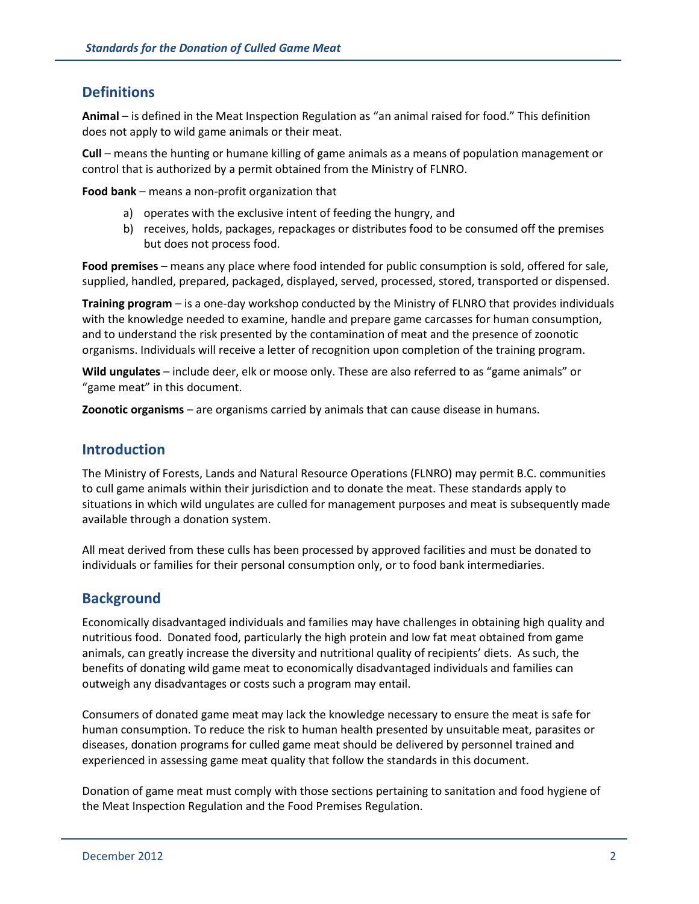## **Definitions**

**Animal** – is defined in the Meat Inspection Regulation as "an animal raised for food." This definition does not apply to wild game animals or their meat.

**Cull** – means the hunting or humane killing of game animals as a means of population management or control that is authorized by a permit obtained from the Ministry of FLNRO.

**Food bank** – means a non-profit organization that

- a) operates with the exclusive intent of feeding the hungry, and
- b) receives, holds, packages, repackages or distributes food to be consumed off the premises but does not process food.

**Food premises** – means any place where food intended for public consumption is sold, offered for sale, supplied, handled, prepared, packaged, displayed, served, processed, stored, transported or dispensed.

**Training program** – is a one-day workshop conducted by the Ministry of FLNRO that provides individuals with the knowledge needed to examine, handle and prepare game carcasses for human consumption, and to understand the risk presented by the contamination of meat and the presence of zoonotic organisms. Individuals will receive a letter of recognition upon completion of the training program.

**Wild ungulates** – include deer, elk or moose only. These are also referred to as "game animals" or "game meat" in this document.

**Zoonotic organisms** – are organisms carried by animals that can cause disease in humans.

#### **Introduction**

The Ministry of Forests, Lands and Natural Resource Operations (FLNRO) may permit B.C. communities to cull game animals within their jurisdiction and to donate the meat. These standards apply to situations in which wild ungulates are culled for management purposes and meat is subsequently made available through a donation system.

All meat derived from these culls has been processed by approved facilities and must be donated to individuals or families for their personal consumption only, or to food bank intermediaries.

#### **Background**

Economically disadvantaged individuals and families may have challenges in obtaining high quality and nutritious food. Donated food, particularly the high protein and low fat meat obtained from game animals, can greatly increase the diversity and nutritional quality of recipients' diets. As such, the benefits of donating wild game meat to economically disadvantaged individuals and families can outweigh any disadvantages or costs such a program may entail.

Consumers of donated game meat may lack the knowledge necessary to ensure the meat is safe for human consumption. To reduce the risk to human health presented by unsuitable meat, parasites or diseases, donation programs for culled game meat should be delivered by personnel trained and experienced in assessing game meat quality that follow the standards in this document.

Donation of game meat must comply with those sections pertaining to sanitation and food hygiene of the Meat Inspection Regulation and the Food Premises Regulation.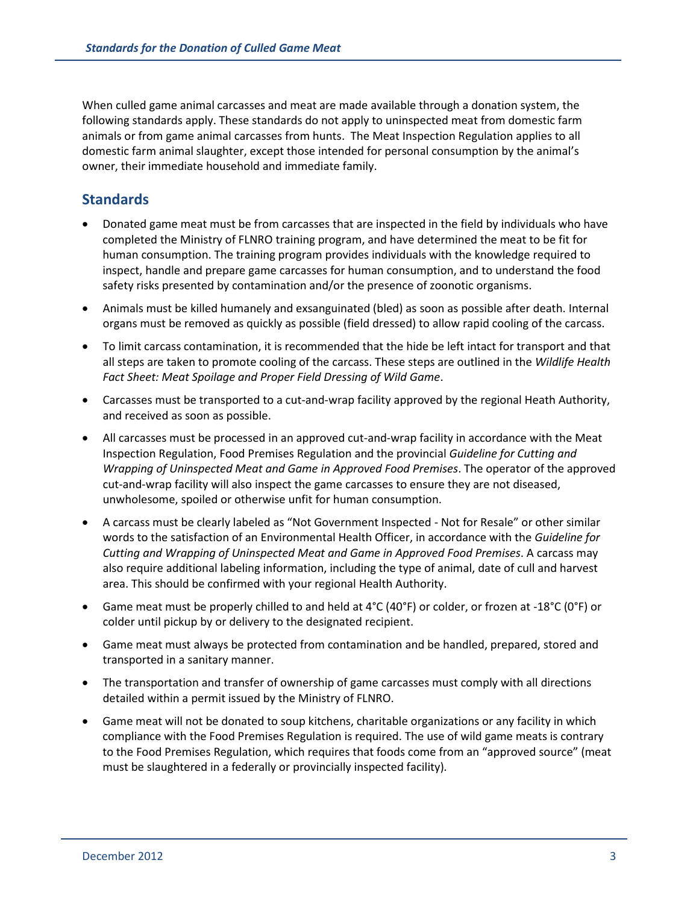When culled game animal carcasses and meat are made available through a donation system, the following standards apply. These standards do not apply to uninspected meat from domestic farm animals or from game animal carcasses from hunts. The Meat Inspection Regulation applies to all domestic farm animal slaughter, except those intended for personal consumption by the animal's owner, their immediate household and immediate family.

## **Standards**

- Donated game meat must be from carcasses that are inspected in the field by individuals who have completed the Ministry of FLNRO training program, and have determined the meat to be fit for human consumption. The training program provides individuals with the knowledge required to inspect, handle and prepare game carcasses for human consumption, and to understand the food safety risks presented by contamination and/or the presence of zoonotic organisms.
- Animals must be killed humanely and exsanguinated (bled) as soon as possible after death. Internal organs must be removed as quickly as possible (field dressed) to allow rapid cooling of the carcass.
- To limit carcass contamination, it is recommended that the hide be left intact for transport and that all steps are taken to promote cooling of the carcass. These steps are outlined in the *Wildlife Health Fact Sheet: Meat Spoilage and Proper Field Dressing of Wild Game*.
- Carcasses must be transported to a cut-and-wrap facility approved by the regional Heath Authority, and received as soon as possible.
- All carcasses must be processed in an approved cut-and-wrap facility in accordance with the Meat Inspection Regulation, Food Premises Regulation and the provincial *Guideline for Cutting and Wrapping of Uninspected Meat and Game in Approved Food Premises*. The operator of the approved cut-and-wrap facility will also inspect the game carcasses to ensure they are not diseased, unwholesome, spoiled or otherwise unfit for human consumption.
- A carcass must be clearly labeled as "Not Government Inspected Not for Resale" or other similar words to the satisfaction of an Environmental Health Officer, in accordance with the *Guideline for Cutting and Wrapping of Uninspected Meat and Game in Approved Food Premises*. A carcass may also require additional labeling information, including the type of animal, date of cull and harvest area. This should be confirmed with your regional Health Authority.
- Game meat must be properly chilled to and held at 4°C (40°F) or colder, or frozen at -18°C (0°F) or colder until pickup by or delivery to the designated recipient.
- Game meat must always be protected from contamination and be handled, prepared, stored and transported in a sanitary manner.
- The transportation and transfer of ownership of game carcasses must comply with all directions detailed within a permit issued by the Ministry of FLNRO.
- Game meat will not be donated to soup kitchens, charitable organizations or any facility in which compliance with the Food Premises Regulation is required. The use of wild game meats is contrary to the Food Premises Regulation, which requires that foods come from an "approved source" (meat must be slaughtered in a federally or provincially inspected facility)*.*